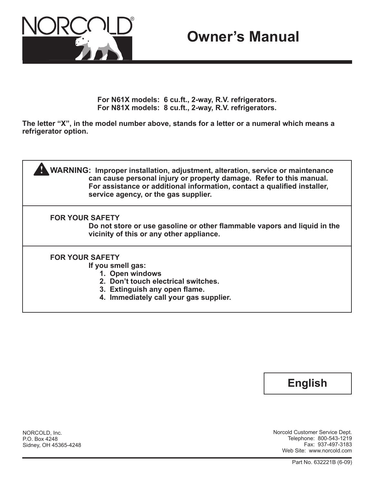

# **Owner's Manual**

**For N61X models: 6 cu.ft., 2-way, R.V. refrigerators. For N81X models: 8 cu.ft., 2-way, R.V. refrigerators.**

**The letter "X", in the model number above, stands for a letter or a numeral which means a refrigerator option.**





Norcold Customer Service Dept. Telephone: 800-543-1219 Fax: 937-497-3183 Web Site: www.norcold.com

NORCOLD, Inc. P.O. Box 4248 Sidney, OH 45365-4248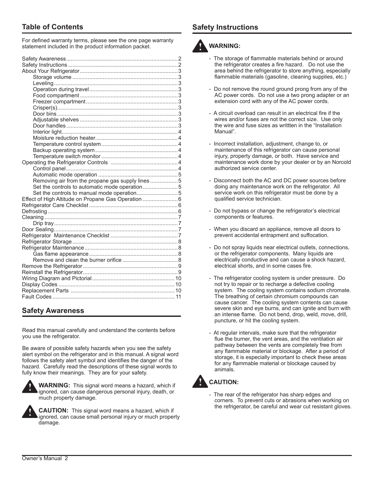### **Table of Contents**

For defined warranty terms, please see the one page warranty statement included in the product information packet.

| Removing air from the propane gas supply lines 5   |  |
|----------------------------------------------------|--|
| Set the controls to automatic mode operation5      |  |
| Set the controls to manual mode operation5         |  |
| Effect of High Altitude on Propane Gas Operation 6 |  |
|                                                    |  |
|                                                    |  |
|                                                    |  |
|                                                    |  |
|                                                    |  |
|                                                    |  |
|                                                    |  |
|                                                    |  |
|                                                    |  |
|                                                    |  |
|                                                    |  |
|                                                    |  |
|                                                    |  |
|                                                    |  |
|                                                    |  |
|                                                    |  |
|                                                    |  |

### **Safety Awareness**

Read this manual carefully and understand the contents before you use the refrigerator.

Be aware of possible safety hazards when you see the safety alert symbol on the refrigerator and in this manual. A signal word follows the safety alert symbol and identifies the danger of the hazard. Carefully read the descriptions of these signal words to fully know their meanings. They are for your safety.



**WARNING:** This signal word means a hazard, which if ignored, can cause dangerous personal injury, death, or much property damage.



**CAUTION:** This signal word means a hazard, which if ignored, can cause small personal injury or much property damage.

### **Safety Instructions**



- The storage of flammable materials behind or around the refrigerator creates a fire hazard. Do not use the area behind the refrigerator to store anything, especially flammable materials (gasoline, cleaning supplies, etc.)

- Do not remove the round ground prong from any of the AC power cords. Do not use a two prong adapter or an extension cord with any of the AC power cords.
- A circuit overload can result in an electrical fire if the wires and/or fuses are not the correct size. Use only the wire and fuse sizes as writtten in the "Installation Manual".
- Incorrect installation, adjustment, change to, or maintenance of this refrigerator can cause personal injury, property damage, or both. Have service and maintenance work done by your dealer or by an Norcold authorized service center.
- Disconnect both the AC and DC power sources before doing any maintenance work on the refrigerator. All service work on this refrigerator must be done by a qualified service technician.
- Do not bypass or change the refrigerator's electrical components or features.
- When you discard an appliance, remove all doors to prevent accidental entrapment and suffocation.
- Do not spray liquids near electrical outlets, connections, or the refrigerator components. Many liquids are electrically conductive and can cause a shock hazard, electrical shorts, and in some cases fire.
- The refrigerator cooling system is under pressure. Do not try to repair or to recharge a defective cooling system. The cooling system contains sodium chromate. The breathing of certain chromium compounds can cause cancer. The cooling system contents can cause severe skin and eye burns, and can ignite and burn with an intense flame. Do not bend, drop, weld, move, drill, puncture, or hit the cooling system.
- At regular intervals, make sure that the refrigerator flue the burner, the vent areas, and the ventilation air pathway between the vents are completely free from any flammable material or blockage. After a period of storage, it is especially important to check these areas for any flammable material or blockage caused by animals.



## **CAUTION:**

- The rear of the refrigerator has sharp edges and corners. To prevent cuts or abrasions when working on the refrigerator, be careful and wear cut resistant gloves.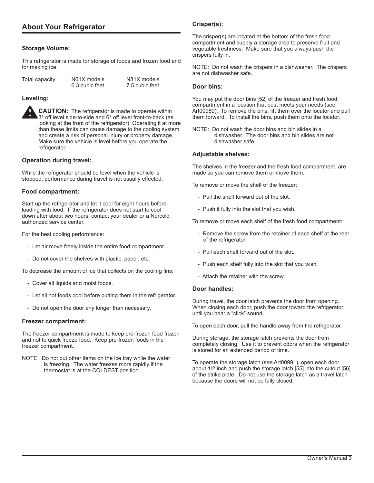### **Storage Volume:**

This refrigerator is made for storage of foods and frozen food and for making ice.

| Total capacity | N61X models    | N81X models    |
|----------------|----------------|----------------|
|                | 6.3 cubic feet | 7.5 cubic feet |

### **Leveling:**

**CAUTION:** The refrigerator is made to operate within 3° off level side-to-side and 6° off level front-to-back (as looking at the front of the refrigerator). Operating it at more than these limits can cause damage to the cooling system and create a risk of personal injury or property damage. Make sure the vehicle is level before you operate the refrigerator. **!**

#### **Operation during travel:**

While the refrigerator should be level when the vehicle is stopped, performance during travel is not usually effected.

#### **Food compartment:**

Start up the refrigerator and let it cool for eight hours before loading with food. If the refrigerator does not start to cool down after about two hours, contact your dealer or a Norcold authorized service center.

For the best cooling performance:

- Let air move freely inside the entire food compartment.
- Do not cover the shelves with plastic, paper, etc.

To decrease the amount of ice that collects on the cooling fins:

- Cover all liquids and moist foods.
- Let all hot foods cool before putting them in the refrigerator.
- Do not open the door any longer than necessary.

#### **Freezer compartment:**

The freezer compartment is made to keep pre-frozen food frozen and not to quick freeze food. Keep pre-frozen foods in the freezer compartment.

NOTE: Do not put other items on the ice tray while the water is freezing. The water freezes more rapidly if the thermostat is at the COLDEST position.

### **Crisper(s):**

The crisper(s) are located at the bottom of the fresh food compartment and supply a storage area to preserve fruit and vegetable freshness. Make sure that you always push the crispers fully in.

NOTE: Do not wash the crispers in a dishwasher. The crispers are not dishwasher safe.

#### **Door bins:**

You may put the door bins [52] of the freezer and fresh food compartment in a location that best meets your needs (see Art00989). To remove the bins, lift them over the locator and pull them forward. To install the bins, push them onto the locator.

NOTE: Do not wash the door bins and bin slides in a dishwasher. The door bins and bin slides are not dishwasher safe.

#### **Adjustable shelves:**

The shelves in the freezer and the fresh food compartment are made so you can remove them or move them.

To remove or move the shelf of the freezer:

- Pull the shelf forward out of the slot.
- Push it fully into the slot that you wish.

To remove or move each shelf of the fresh food compartment:

- Remove the screw from the retainer of each shelf at the rear of the refrigerator.
- Pull each shelf forward out of the slot.
- Push each shelf fully into the slot that you wish.
- Attach the retainer with the screw.

#### **Door handles:**

During travel, the door latch prevents the door from opening. When closing each door, push the door toward the refrigerator until you hear a "click" sound.

To open each door, pull the handle away from the refrigerator.

During storage, the storage latch prevents the door from completely closing. Use it to prevent odors when the refrigerator is stored for an extended period of time.

To operate the storage latch (see Art00991), open each door about 1/2 inch and push the storage latch [55] into the cutout [56] of the strike plate. Do not use the storage latch as a travel latch because the doors will not be fully closed.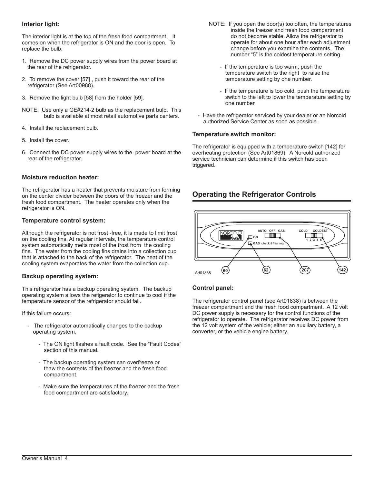### **Interior light:**

The interior light is at the top of the fresh food compartment. It comes on when the refrigerator is ON and the door is open. To replace the bulb:

- 1. Remove the DC power supply wires from the power board at the rear of the refrigerator.
- 2. To remove the cover [57] , push it toward the rear of the refrigerator (See Art00988).
- 3. Remove the light bulb [58] from the holder [59].
- NOTE: Use only a GE#214-2 bulb as the replacement bulb. This bulb is available at most retail automotive parts centers.
- 4. Install the replacement bulb.
- 5. Install the cover.
- 6. Connect the DC power supply wires to the power board at the rear of the refrigerator.

#### **Moisture reduction heater:**

The refrigerator has a heater that prevents moisture from forming on the center divider between the doors of the freezer and the fresh food compartment. The heater operates only when the refrigerator is ON.

#### **Temperature control system:**

Although the refrigerator is not frost -free, it is made to limit frost on the cooling fins. At regular intervals, the temperature control system automatically melts most of the frost from the cooling fins. The water from the cooling fins drains into a collection cup that is attached to the back of the refrigerator. The heat of the cooling system evaporates the water from the collection cup.

#### **Backup operating system:**

This refrigerator has a backup operating system. The backup operating system allows the refigerator to continue to cool if the temperature sensor of the refrigerator should fail.

If this failure occurs:

- The refrigerator automatically changes to the backup operating system.
	- The ON light flashes a fault code. See the "Fault Codes" section of this manual.
	- The backup operating system can overfreeze or thaw the contents of the freezer and the fresh food compartment.
	- Make sure the temperatures of the freezer and the fresh food compartment are satisfactory.
- NOTE: If you open the door(s) too often, the temperatures inside the freezer and fresh food compartment do not become stable. Allow the refrigerator to operate for about one hour after each adjustment change before you examine the contents. The number "5" is the coldest temperature setting.
	- If the temperature is too warm, push the temperature switch to the right to raise the temperature setting by one number.
	- If the temperature is too cold, push the temperature switch to the left to lower the temperature setting by one number.
- Have the refrigerator serviced by your dealer or an Norcold authorized Service Center as soon as possible.

#### **Temperature switch monitor:**

The refrigerator is equipped with a temperature switch [142] for overheating protection (See Art01869). A Norcold authorized service technician can determine if this switch has been triggered.

### **Operating the Refrigerator Controls**



### **Control panel:**

The refrigerator control panel (see Art01838) is between the freezer compartment and the fresh food compartment. A 12 volt DC power supply is necessary for the control functions of the refrigerator to operate. The refrigerator receives DC power from the 12 volt system of the vehicle; either an auxiliary battery, a converter, or the vehicle engine battery.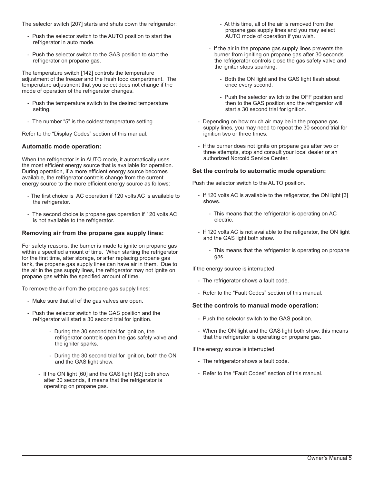The selector switch [207] starts and shuts down the refrigerator:

- Push the selector switch to the AUTO position to start the refrigerator in auto mode.
- Push the selector switch to the GAS position to start the refrigerator on propane gas.

The temperature switch [142] controls the temperature adjustment of the freezer and the fresh food compartment. The temperature adjustment that you select does not change if the mode of operation of the refrigerator changes.

- Push the temperature switch to the desired temperature setting.
- The number "5" is the coldest temperature setting.

Refer to the "Display Codes" section of this manual.

#### **Automatic mode operation:**

When the refrigerator is in AUTO mode, it automatically uses the most efficient energy source that is available for operation. During operation, if a more efficient energy source becomes available, the refrigerator controls change from the current energy source to the more efficient energy source as follows:

- The first choice is AC operation if 120 volts AC is available to the refrigerator.
- The second choice is propane gas operation if 120 volts AC is not available to the refrigerator.

### **Removing air from the propane gas supply lines:**

For safety reasons, the burner is made to ignite on propane gas within a specified amount of time. When starting the refrigerator for the first time, after storage, or after replacing propane gas tank, the propane gas supply lines can have air in them. Due to the air in the gas supply lines, the refrigerator may not ignite on propane gas within the specified amount of time.

To remove the air from the propane gas supply lines:

- Make sure that all of the gas valves are open.
- Push the selector switch to the GAS position and the refrigerator will start a 30 second trial for ignition.
	- During the 30 second trial for ignition, the refrigerator controls open the gas safety valve and the igniter sparks.
	- During the 30 second trial for ignition, both the ON and the GAS light show.
	- If the ON light [60] and the GAS light [62] both show after 30 seconds, it means that the refrigerator is operating on propane gas.
- At this time, all of the air is removed from the propane gas supply lines and you may select AUTO mode of operation if you wish.
- If the air in the propane gas supply lines prevents the burner from igniting on propane gas after 30 seconds the refrigerator controls close the gas safety valve and the igniter stops sparking.
	- Both the ON light and the GAS light flash about once every second.
	- Push the selector switch to the OFF position and then to the GAS position and the refrigerator will start a 30 second trial for ignition.
- Depending on how much air may be in the propane gas supply lines, you may need to repeat the 30 second trial for ignition two or three times.
- If the burner does not ignite on propane gas after two or three attempts, stop and consult your local dealer or an authorized Norcold Service Center.

#### **Set the controls to automatic mode operation:**

Push the selector switch to the AUTO position.

- If 120 volts AC is available to the refigerator, the ON light [3] shows.
	- This means that the refrigerator is operating on AC electric.
- If 120 volts AC is not available to the refigerator, the ON light and the GAS light both show.
	- This means that the refrigerator is operating on propane gas.

If the energy source is interrupted:

- The refrigerator shows a fault code.
- Refer to the "Fault Codes" section of this manual.

#### **Set the controls to manual mode operation:**

- Push the selector switch to the GAS position.
- When the ON light and the GAS light both show, this means that the refrigerator is operating on propane gas.

If the energy source is interrupted:

- The refrigerator shows a fault code.
- Refer to the "Fault Codes" section of this manual.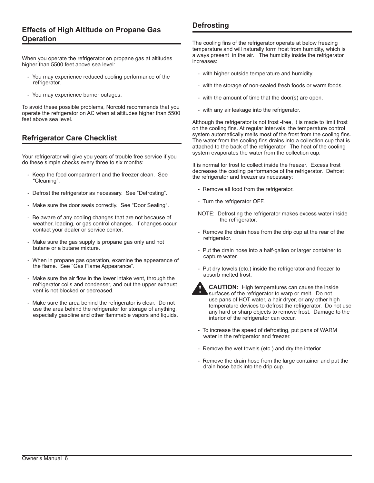### **Effects of High Altitude on Propane Gas Operation**

When you operate the refrigerator on propane gas at altitudes higher than 5500 feet above sea level:

- You may experience reduced cooling performance of the refrigerator.
- You may experience burner outages.

To avoid these possible problems, Norcold recommends that you operate the refrigerator on AC when at altitudes higher than 5500 feet above sea level.

### **Refrigerator Care Checklist**

Your refrigerator will give you years of trouble free service if you do these simple checks every three to six months:

- Keep the food compartment and the freezer clean. See "Cleaning".
- Defrost the refrigerator as necessary. See "Defrosting".
- Make sure the door seals correctly. See "Door Sealing".
- Be aware of any cooling changes that are not because of weather, loading, or gas control changes. If changes occur, contact your dealer or service center.
- Make sure the gas supply is propane gas only and not butane or a butane mixture.
- When in propane gas operation, examine the appearance of the flame. See "Gas Flame Appearance".
- Make sure the air flow in the lower intake vent, through the refrigerator coils and condenser, and out the upper exhaust vent is not blocked or decreased.
- Make sure the area behind the refrigerator is clear. Do not use the area behind the refrigerator for storage of anything, especially gasoline and other flammable vapors and liquids.

### **Defrosting**

The cooling fins of the refrigerator operate at below freezing temperature and will naturally form frost from humidity, which is always present in the air. The humidity inside the refrigerator increases:

- with higher outside temperature and humidity.
- with the storage of non-sealed fresh foods or warm foods.
- with the amount of time that the door(s) are open.
- with any air leakage into the refrigerator.

Although the refrigerator is not frost -free, it is made to limit frost on the cooling fins. At regular intervals, the temperature control system automatically melts most of the frost from the cooling fins. The water from the cooling fins drains into a collection cup that is attached to the back of the refrigerator. The heat of the cooling system evaporates the water from the collection cup.

It is normal for frost to collect inside the freezer. Excess frost decreases the cooling performance of the refrigerator. Defrost the refrigerator and freezer as necessary:

- Remove all food from the refrigerator.
- Turn the refrigerator OFF.
- NOTE: Defrosting the refrigerator makes excess water inside the refrigerator.
- Remove the drain hose from the drip cup at the rear of the refrigerator.
- Put the drain hose into a half-gallon or larger container to capture water.
- Put dry towels (etc.) inside the refrigerator and freezer to absorb melted frost.



**CAUTION:** High temperatures can cause the inside surfaces of the refrigerator to warp or melt. Do not use pans of HOT water, a hair dryer, or any other high temperature devices to defrost the refrigerator. Do not use any hard or sharp objects to remove frost. Damage to the interior of the refrigerator can occur.

- To increase the speed of defrosting, put pans of WARM water in the refrigerator and freezer.
- Remove the wet towels (etc.) and dry the interior.
- Remove the drain hose from the large container and put the drain hose back into the drip cup.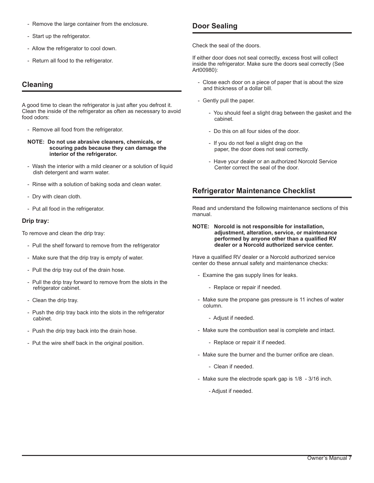- Remove the large container from the enclosure.
- Start up the refrigerator.
- Allow the refrigerator to cool down.
- Return all food to the refrigerator.

### **Cleaning**

A good time to clean the refrigerator is just after you defrost it. Clean the inside of the refrigerator as often as necessary to avoid food odors:

- Remove all food from the refrigerator.
- **NOTE: Do not use abrasive cleaners, chemicals, or scouring pads because they can damage the interior of the refrigerator.**
- Wash the interior with a mild cleaner or a solution of liquid dish detergent and warm water.
- Rinse with a solution of baking soda and clean water.
- Dry with clean cloth.
- Put all food in the refrigerator.

### **Drip tray:**

To remove and clean the drip tray:

- Pull the shelf forward to remove from the refrigerator
- Make sure that the drip tray is empty of water.
- Pull the drip tray out of the drain hose.
- Pull the drip tray forward to remove from the slots in the refrigerator cabinet.
- Clean the drip tray.
- Push the drip tray back into the slots in the refrigerator cabinet.
- Push the drip tray back into the drain hose.
- Put the wire shelf back in the original position.

### **Door Sealing**

Check the seal of the doors.

If either door does not seal correctly, excess frost will collect inside the refrigerator. Make sure the doors seal correctly (See Art00980):

- Close each door on a piece of paper that is about the size and thickness of a dollar bill.
- Gently pull the paper.
	- You should feel a slight drag between the gasket and the cabinet.
	- Do this on all four sides of the door.
	- If you do not feel a slight drag on the paper, the door does not seal correctly.
	- Have your dealer or an authorized Norcold Service Center correct the seal of the door.

### **Refrigerator Maintenance Checklist**

Read and understand the following maintenance sections of this manual.

#### **NOTE: Norcold is not responsible for installation, adjustment, alteration, service, or maintenance performed by anyone other than a qualified RV dealer or a Norcold authorized service center.**

Have a qualified RV dealer or a Norcold authorized service center do these annual safety and maintenance checks:

- Examine the gas supply lines for leaks.
	- Replace or repair if needed.
- Make sure the propane gas pressure is 11 inches of water column.
	- Adjust if needed.
- Make sure the combustion seal is complete and intact.
	- Replace or repair it if needed.
- Make sure the burner and the burner orifice are clean.
	- Clean if needed.
- Make sure the electrode spark gap is 1/8 3/16 inch.
	- Adjust if needed.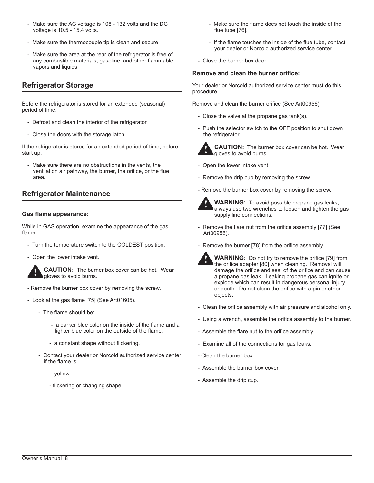- Make sure the AC voltage is 108 132 volts and the DC voltage is 10.5 - 15.4 volts.
- Make sure the thermocouple tip is clean and secure.
- Make sure the area at the rear of the refrigerator is free of any combustible materials, gasoline, and other flammable vapors and liquids.

### **Refrigerator Storage**

Before the refrigerator is stored for an extended (seasonal) period of time:

- Defrost and clean the interior of the refrigerator.
- Close the doors with the storage latch.

If the refrigerator is stored for an extended period of time, before start up:

- Make sure there are no obstructions in the vents, the ventilation air pathway, the burner, the orifice, or the flue area.

### **Refrigerator Maintenance**

### **Gas flame appearance:**

While in GAS operation, examine the appearance of the gas flame:

- Turn the temperature switch to the COLDEST position.
- Open the lower intake vent.



**CAUTION:** The burner box cover can be hot. Wear gloves to avoid burns.

- Remove the burner box cover by removing the screw.
- Look at the gas flame [75] (See Art01605).
	- The flame should be:
		- a darker blue color on the inside of the flame and a lighter blue color on the outside of the flame.
		- a constant shape without flickering.
	- Contact your dealer or Norcold authorized service center if the flame is:
		- yellow
		- flickering or changing shape.
- Make sure the flame does not touch the inside of the flue tube [76].
- If the flame touches the inside of the flue tube, contact your dealer or Norcold authorized service center.
- Close the burner box door.

### **Remove and clean the burner orifice:**

Your dealer or Norcold authorized service center must do this procedure.

Remove and clean the burner orifice (See Art00956):

- Close the valve at the propane gas tank(s).
- Push the selector switch to the OFF position to shut down the refrigerator.



**CAUTION:** The burner box cover can be hot. Wear gloves to avoid burns.

- Open the lower intake vent.
- Remove the drip cup by removing the screw.
- Remove the burner box cover by removing the screw.



**WARNING:** To avoid possible propane gas leaks, always use two wrenches to loosen and tighten the gas supply line connections.

- Remove the flare nut from the orifice assembly [77] (See Art00956).
- Remove the burner [78] from the orifice assembly.
	- **WARNING:** Do not try to remove the orifice [79] from the orifice adapter [80] when cleaning. Removal will damage the orifice and seal of the orifice and can cause a propane gas leak. Leaking propane gas can ignite or explode which can result in dangerous personal injury or death. Do not clean the orifice with a pin or other objects. **!**
- Clean the orifice assembly with air pressure and alcohol only.
- Using a wrench, assemble the orifice assembly to the burner.
- Assemble the flare nut to the orifice assembly.
- Examine all of the connections for gas leaks.
- Clean the burner box.
- Assemble the burner box cover.
- Assemble the drip cup.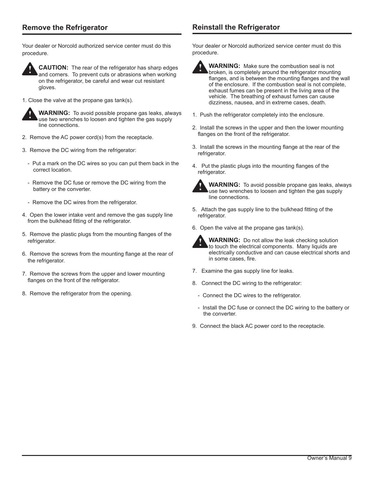### **Remove the Refrigerator**

Your dealer or Norcold authorized service center must do this procedure.



**CAUTION:** The rear of the refrigerator has sharp edges and corners. To prevent cuts or abrasions when working on the refrigerator, be careful and wear cut resistant gloves.

1. Close the valve at the propane gas tank(s).



**WARNING:** To avoid possible propane gas leaks, always use two wrenches to loosen and tighten the gas supply line connections.

- 2. Remove the AC power cord(s) from the receptacle.
- 3. Remove the DC wiring from the refrigerator:
	- Put a mark on the DC wires so you can put them back in the correct location.
	- Remove the DC fuse or remove the DC wiring from the battery or the converter.
	- Remove the DC wires from the refrigerator.
- 4. Open the lower intake vent and remove the gas supply line from the bulkhead fitting of the refrigerator.
- 5. Remove the plastic plugs from the mounting flanges of the refrigerator.
- 6. Remove the screws from the mounting flange at the rear of the refrigerator.
- 7. Remove the screws from the upper and lower mounting flanges on the front of the refrigerator.
- 8. Remove the refrigerator from the opening.

### **Reinstall the Refrigerator**

Your dealer or Norcold authorized service center must do this procedure.



**WARNING:** Make sure the combustion seal is not broken, is completely around the refrigerator mounting flanges, and is between the mounting flanges and the wall of the enclosure. If the combustion seal is not complete, exhaust fumes can be present in the living area of the vehicle. The breathing of exhaust fumes can cause dizziness, nausea, and in extreme cases, death. **!**

- 1. Push the refrigerator completely into the enclosure.
- 2. Install the screws in the upper and then the lower mounting flanges on the front of the refrigerator.
- 3. Install the screws in the mounting flange at the rear of the refrigerator.
- 4. Put the plastic plugs into the mounting flanges of the refrigerator.



**WARNING:** To avoid possible propane gas leaks, always use two wrenches to loosen and tighten the gas supply line connections.

- 5. Attach the gas supply line to the bulkhead fitting of the refrigerator.
- 6. Open the valve at the propane gas tank(s).



**WARNING:** Do not allow the leak checking solution to touch the electrical components. Many liquids are electrically conductive and can cause electrical shorts and in some cases, fire.

- 7. Examine the gas supply line for leaks.
- 8. Connect the DC wiring to the refrigerator:
	- Connect the DC wires to the refrigerator.
	- Install the DC fuse or connect the DC wiring to the battery or the converter.
- 9. Connect the black AC power cord to the receptacle.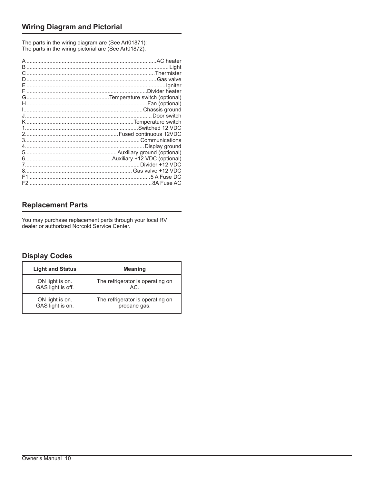The parts in the wiring diagram are (See Art01871): The parts in the wiring pictorial are (See Art01872):

### **Replacement Parts**

You may purchase replacement parts through your local RV dealer or authorized Norcold Service Center.

### **Display Codes**

| <b>Light and Status</b> | <b>Meaning</b>                   |
|-------------------------|----------------------------------|
| ON light is on.         | The refrigerator is operating on |
| GAS light is off.       | AC.                              |
| ON light is on.         | The refrigerator is operating on |
| GAS light is on.        | propane gas.                     |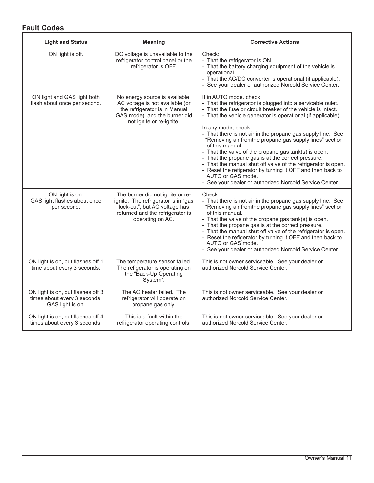### **Fault Codes**

| <b>Light and Status</b>                                                               | <b>Meaning</b>                                                                                                                                                   | <b>Corrective Actions</b>                                                                                                                                                                                                                                                                                                                                                                                                                                                                                                                                                                                                                                                                                               |
|---------------------------------------------------------------------------------------|------------------------------------------------------------------------------------------------------------------------------------------------------------------|-------------------------------------------------------------------------------------------------------------------------------------------------------------------------------------------------------------------------------------------------------------------------------------------------------------------------------------------------------------------------------------------------------------------------------------------------------------------------------------------------------------------------------------------------------------------------------------------------------------------------------------------------------------------------------------------------------------------------|
| ON light is off.                                                                      | DC voltage is unavailable to the<br>refrigerator control panel or the<br>refrigerator is OFF.                                                                    | Check:<br>- That the refrigerator is ON.<br>- That the battery charging equipment of the vehicle is<br>operational.<br>- That the AC/DC converter is operational (if applicable).<br>- See your dealer or authorized Norcold Service Center.                                                                                                                                                                                                                                                                                                                                                                                                                                                                            |
| ON light and GAS light both<br>flash about once per second.                           | No energy source is available.<br>AC voltage is not available (or<br>the refrigerator is in Manual<br>GAS mode), and the burner did<br>not ignite or re-ignite.  | If in AUTO mode, check:<br>- That the refrigerator is plugged into a servicable oulet.<br>- That the fuse or circuit breaker of the vehicle is intact.<br>- That the vehicle generator is operational (if applicable).<br>In any mode, check:<br>- That there is not air in the propane gas supply line. See<br>"Removing air fromthe propane gas supply lines" section<br>of this manual.<br>- That the valve of the propane gas tank(s) is open.<br>- That the propane gas is at the correct pressure.<br>- That the manual shut off valve of the refrigerator is open.<br>- Reset the refigerator by turning it OFF and then back to<br>AUTO or GAS mode.<br>- See your dealer or authorized Norcold Service Center. |
| ON light is on.<br>GAS light flashes about once<br>per second.                        | The burner did not ignite or re-<br>ignite. The refrigerator is in "gas<br>lock-out", but AC voltage has<br>returned and the refrigerator is<br>operating on AC. | Check:<br>- That there is not air in the propane gas supply line. See<br>"Removing air fromthe propane gas supply lines" section<br>of this manual.<br>- That the valve of the propane gas tank(s) is open.<br>- That the propane gas is at the correct pressure.<br>- That the manual shut off valve of the refrigerator is open.<br>- Reset the refigerator by turning it OFF and then back to<br>AUTO or GAS mode.<br>- See your dealer or authorized Norcold Service Center.                                                                                                                                                                                                                                        |
| ON light is on, but flashes off 1<br>time about every 3 seconds.                      | The temperature sensor failed.<br>The refigerator is operating on<br>the "Back-Up Operating<br>System".                                                          | This is not owner serviceable. See your dealer or<br>authorized Norcold Service Center.                                                                                                                                                                                                                                                                                                                                                                                                                                                                                                                                                                                                                                 |
| ON light is on, but flashes off 3<br>times about every 3 seconds.<br>GAS light is on. | The AC heater failed. The<br>refrigerator will operate on<br>propane gas only.                                                                                   | This is not owner serviceable. See your dealer or<br>authorized Norcold Service Center.                                                                                                                                                                                                                                                                                                                                                                                                                                                                                                                                                                                                                                 |
| ON light is on, but flashes off 4<br>times about every 3 seconds.                     | This is a fault within the<br>refrigerator operating controls.                                                                                                   | This is not owner serviceable. See your dealer or<br>authorized Norcold Service Center.                                                                                                                                                                                                                                                                                                                                                                                                                                                                                                                                                                                                                                 |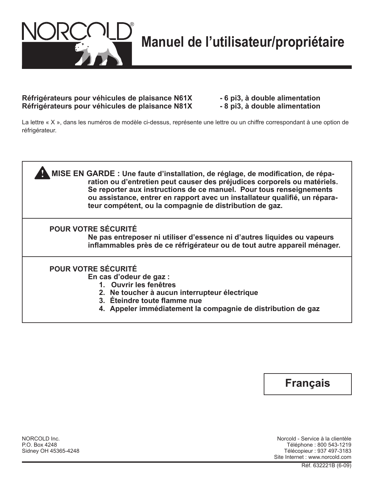

### Réfrigérateurs pour véhicules de plaisance N61X - 6 pi3, à double alimentation **Réfrigérateurs pour véhicules de plaisance N81X - 8 pi3, à double alimentation**

La lettre « X », dans les numéros de modèle ci-dessus, représente une lettre ou un chiffre correspondant à une option de réfrigérateur.





NORCOLD Inc. Norcold - Service à la clientèle P.O. Box 4248 Téléphone : 800 543-1219 Télécopieur : 937 497-3183 Site Internet : www.norcold.com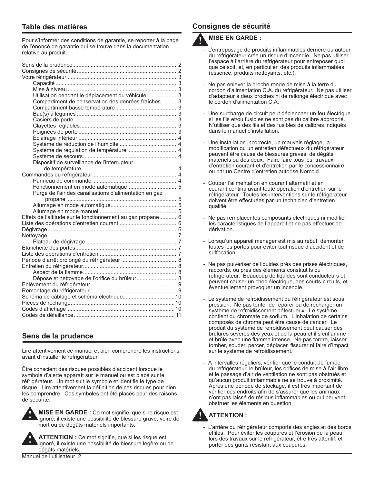### **Table des matières**

Pour s'informer des conditions de garantie, se reporter à la page de l'énoncé de garantie qui se trouve dans la documentation relative au produit.

| Utilisation pendant le déplacement du véhicule  3          |  |
|------------------------------------------------------------|--|
| Compartiment de conservation des denrées fraîches3         |  |
|                                                            |  |
|                                                            |  |
|                                                            |  |
|                                                            |  |
|                                                            |  |
|                                                            |  |
|                                                            |  |
|                                                            |  |
|                                                            |  |
| Dispositif de surveillance de l'interrupteur               |  |
|                                                            |  |
|                                                            |  |
|                                                            |  |
|                                                            |  |
| Purge de l'air des canalisations d'alimentation en gaz     |  |
|                                                            |  |
|                                                            |  |
|                                                            |  |
| Effets de l'altitude sur le fonctionnement au gaz propane6 |  |
|                                                            |  |
|                                                            |  |
|                                                            |  |
|                                                            |  |
|                                                            |  |
|                                                            |  |
|                                                            |  |
|                                                            |  |
|                                                            |  |
| Dépose et nettoyage de l'orifice du brûleur 8              |  |
|                                                            |  |
|                                                            |  |
|                                                            |  |
|                                                            |  |
|                                                            |  |
|                                                            |  |
|                                                            |  |

### **Sens de la prudence**

Lire attentivement ce manuel et bien comprendre les instructions avant d'installer le réfrigérateur.

Être conscient des risques possibles d'accident lorsque le symbole d'alerte apparaît sur le manuel ou est placé sur le réfrigérateur. Un mot suit le symbole et identifie le type de risque. Lire attentivement la définition de ces risques pour bien les comprendre. Ces symboles ont été placés pour des raisons de sécurité.



**MISE EN GARDE :** Ce mot signifie, que si le risque est ignoré, il existe une possibilité de blessure grave, voire de mort ou de dégâts matériels importants.



**ATTENTION :** Ce mot signifie, que si les risque est ignoré, il existe une possibilité de blessure légère ou de dégâts matériels.

#### Manuel de l'utilisateur 2

### **Consignes de sécurité**

#### **MISE EN GARDE : !**

- L'entreposage de produits inflammables derrière ou autour du réfrigérateur crée un risque d'incendie. Ne pas utiliser l'espace à l'arrière du réfrigérateur pour entreposer quoi que ce soit, et, en particulier, des produits inflammables (essence, produits nettoyants, etc.).
- Ne pas enlever la broche ronde de mise à la terre du cordon d'alimentation C.A. du réfrigérateur. Ne pas utiliser d'adapteur à deux broches ni de rallonge électrique avec le cordon d'alimentation C.A.
- Une surcharge de circuit peut déclencher un feu électrique si les fils et/ou fusibles ne sont pas du calibre approprié. N'utiliser que des fils et des fusibles de calibres indiqués dans le manuel d'installation.
- Une installation incorrecte, un mauvais réglage, la modification ou un entretien défectueux du réfrigérateur peuvent être cause de blessures graves, de dégâts matériels ou des deux. Faire faire tous les travaux d'entretien courant et d'entretien par le concessionnaire ou par un Centre d'entretien autorisé Norcold.
- Couper l'alimentation en courant alternatif et en courant continu avant toute opération d'entretien sur le réfrigérateur. Toutes les interventions sur le réfrigérateur doivent être effectuées par un technicien d'entretien qualifié.
- Ne pas remplacer les composants électriques ni modifier les caractéristiques de l'appareil et ne pas effectuer de dérivation.
- Lorsqu'un appareil ménager est mis au rebut, démonter toutes les portes pour éviter tout risque d'accident et de suffocation.
- Ne pas pulvériser de liquides près des prises électriques, raccords, ou près des éléments constitutifs du réfrigérateur. Beaucoup de liquides sont conducteurs et peuvent causer un choc électrique, des courts-circuits, et éventuellement provoquer un incendie.
- Le système de refroidissement du réfrigérateur est sous pression. Ne pas tenter de réparer ou de recharger un système de refroidissement défectueux. Le système contient du chromate de sodium. L'inhalation de certains composés de chrome peut être cause de cancer. Le produit du système de refroidissement peut causer des brûlures sévères des yeux et de la peau et il s'enflamme et brûle avec une flamme intense. Ne pas tordre, laisser tomber, souder, percer, déplacer, fissurer ni faire d'impact sur le système de refroidissement.
- À intervalles réguliers, vérifier que le conduit de fumée du réfrigérateur, le brûleur, les orifices de mise à l'air libre et le passage d'air de ventilation ne sont pas obstrués et qu'aucun produit inflammable ne se trouve à proximité. Après une période de stockage, il est très important de vérifier ces endroits afin de s'assurer que les animaux n'ont pas laissé de résidus inflammables ou qui peuvent obstruer les éléments en question.

### **ATTENTION :**

**!**

- L'arrière du réfrigérateur comporte des angles et des bords effilés. Pour éviter les coupures et l'érosion de la peau lors des travaux sur le réfrigérateur, être très attentif, et porter des gants résistant aux coupures.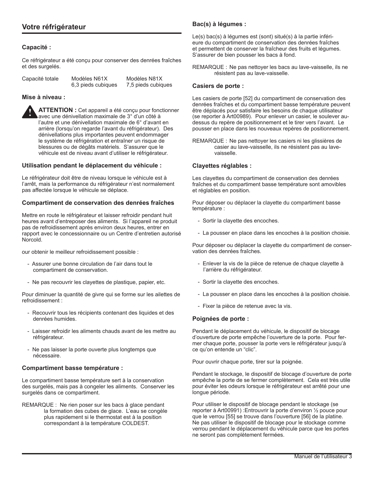### **Capacité :**

Ce réfrigérateur a été conçu pour conserver des denrées fraîches et des surgelés.

| Capacité totale | Modèles N61X       | Modèles N81X       |
|-----------------|--------------------|--------------------|
|                 | 6,3 pieds cubiques | 7,5 pieds cubiques |

#### **Mise à niveau :**

**ATTENTION :** Cet appareil a été conçu pour fonctionner avec une dénivellation maximale de 3° d'un côté à l'autre et une dénivellation maximale de 6° d'avant en arrière (lorsqu'on regarde l'avant du réfrigérateur). Des dénivellations plus importantes peuvent endommager le système de réfrigération et entraîner un risque de blessures ou de dégâts matériels. S'assurer que le véhicule est de niveau avant d'utiliser le réfrigérateur. **!**

#### **Utilisation pendant le déplacement du véhicule :**

Le réfrigérateur doit être de niveau lorsque le véhicule est à l'arrêt, mais la performance du réfrigérateur n'est normalement pas affectée lorsque le véhicule se déplace.

#### **Compartiment de conservation des denrées fraîches**

Mettre en route le réfrigérateur et laisser refroidir pendant huit heures avant d'entreposer des aliments. Si l'appareil ne produit pas de refroidissement après environ deux heures, entrer en rapport avec le concessionnaire ou un Centre d'entretien autorisé Norcold.

our obtenir le meilleur refroidissement possible :

- Assurer une bonne circulation de l'air dans tout le compartiment de conservation.
- Ne pas recouvrir les clayettes de plastique, papier, etc.

Pour diminuer la quantité de givre qui se forme sur les ailettes de refroidissement :

- Recouvrir tous les récipients contenant des liquides et des denrées humides.
- Laisser refroidir les aliments chauds avant de les mettre au réfrigérateur.
- Ne pas laisser la porte ouverte plus longtemps que nécessaire.

#### **Compartiment basse température :**

Le compartiment basse température sert à la conservation des surgelés, mais pas à congeler les aliments. Conserver les surgelés dans ce compartiment.

REMARQUE : Ne rien poser sur les bacs à glace pendant la formation des cubes de glace. L'eau se congèle plus rapidement si le thermostat est à la position correspondant à la température COLDEST.

#### **Bac(s) à légumes :**

Le(s) bac(s) à légumes est (sont) situé(s) à la partie inférieure du compartiment de conservation des denrées fraîches et permettent de conserver la fraîcheur des fruits et légumes. S'assurer de bien pousser les bacs à fond.

REMARQUE : Ne pas nettoyer les bacs au lave-vaisselle, ils ne résistent pas au lave-vaisselle.

#### **Casiers de porte :**

Les casiers de porte [52] du compartiment de conservation des denrées fraîches et du compartiment basse température peuvent être déplacés pour satisfaire les besoins de chaque utilisateur (se reporter à Art00989). Pour enlever un casier, le soulever audessus du repère de positionnement et le tirer vers l'avant. Le pousser en place dans les nouveaux repères de positionnement.

REMARQUE : Ne pas nettoyer les casiers ni les glissières de casier au lave-vaisselle, ils ne résistent pas au lavevaisselle.

#### **Clayettes réglables :**

Les clayettes du compartiment de conservation des denrées fraîches et du compartiment basse température sont amovibles et réglables en position.

Pour déposer ou déplacer la clayette du compartiment basse température :

- Sortir la clayette des encoches.
- La pousser en place dans les encoches à la position choisie.

Pour déposer ou déplacer la clayette du compartiment de conservation des denrées fraîches.

- Enlever la vis de la pièce de retenue de chaque clayette à l'arrière du réfrigérateur.
- Sortir la clayette des encoches.
- La pousser en place dans les encoches à la position choisie.
- Fixer la pièce de retenue avec la vis.

#### **Poignées de porte :**

Pendant le déplacement du véhicule, le dispositif de blocage d'ouverture de porte empêche l'ouverture de la porte. Pour fermer chaque porte, pousser la porte vers le réfrigérateur jusqu'à ce qu'on entende un "clic".

Pour ouvrir chaque porte, tirer sur la poignée.

Pendant le stockage, le dispositif de blocage d'ouverture de porte empêche la porte de se fermer complètement. Cela est très utile pour éviter les odeurs lorsque le réfrigérateur est arrêté pour une longue période.

Pour utiliser le dispositif de blocage pendant le stockage (se reporter à Art00991) :Entrouvrir la porte d'environ ½ pouce pour que le verrou [55] se trouve dans l'ouverture [56] de la platine. Ne pas utiliser le dispositif de blocage pour le stockage comme verrou pendant le déplacement du véhicule parce que les portes ne seront pas complètement fermées.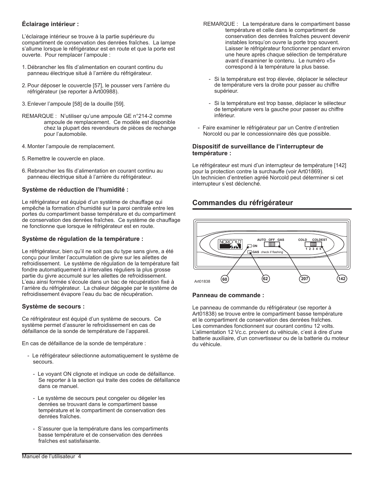### **Éclairage intérieur :**

L'éclairage intérieur se trouve à la partie supérieure du compartiment de conservation des denrées fraîches. La lampe s'allume lorsque le réfrigérateur est en route et que la porte est ouverte. Pour remplacer l'ampoule :

- 1. Débrancher les fils d'alimentation en courant continu du panneau électrique situé à l'arrière du réfrigérateur.
- 2.Pour déposer le couvercle [57], le pousser vers l'arrière du réfrigérateur (se reporter à Art00988).
- 3.Enlever l'ampoule [58] de la douille [59].
- REMARQUE : N'utiliser qu'une ampoule GE n°214-2 comme ampoule de remplacement. Ce modèle est disponible chez la plupart des revendeurs de pièces de rechange pour l'automobile.
- 4. Monter l'ampoule de remplacement.
- 5. Remettre le couvercle en place.
- 6. Rebrancher les fils d'alimentation en courant continu au panneau électrique situé à l'arrière du réfrigérateur.

### **Système de réduction de l'humidité :**

Le réfrigérateur est équipé d'un système de chauffage qui empêche la formation d'humidité sur la paroi centrale entre les portes du compartiment basse température et du compartiment de conservation des denrées fraîches. Ce système de chauffage ne fonctionne que lorsque le réfrigérateur est en route.

### **Système de régulation de la température :**

Le réfrigérateur, bien qu'il ne soit pas du type sans givre, a été conçu pour limiter l'accumulation de givre sur les ailettes de refroidissement. Le système de régulation de la température fait fondre automatiquement à intervalles réguliers la plus grosse partie du givre accumulé sur les ailettes de refroidissement. L'eau ainsi formée s'écoule dans un bac de récupération fixé à l'arrière du réfrigérateur. La chaleur dégagée par le système de refroidissement évapore l'eau du bac de récupération.

### **Système de secours :**

Ce réfrigérateur est équipé d'un système de secours. Ce système permet d'assurer le refroidissement en cas de défaillance de la sonde de température de l'appareil.

En cas de défaillance de la sonde de température :

- Le réfrigérateur sélectionne automatiquement le système de secours.
	- Le voyant ON clignote et indique un code de défaillance. Se reporter à la section qui traite des codes de défaillance dans ce manuel.
	- Le système de secours peut congeler ou dégeler les denrées se trouvant dans le compartiment basse température et le compartiment de conservation des denrées fraîches.
	- S'assurer que la température dans les compartiments basse température et de conservation des denrées fraîches est satisfaisante.
- REMARQUE : La température dans le compartiment basse température et celle dans le compartiment de conservation des denrées fraîches peuvent devenir instables lorsqu'on ouvre la porte trop souvent. Laisser le réfrigérateur fonctionner pendant environ une heure après chaque sélection de température avant d'examiner le contenu. Le numéro «5» correspond à la température la plus basse.
	- Si la température est trop élevée, déplacer le sélecteur de température vers la droite pour passer au chiffre supérieur.
	- Si la température est trop basse, déplacer le sélecteur de température vers la gauche pour passer au chiffre inférieur.
- Faire examiner le réfrigérateur par un Centre d'entretien Norcold ou par le concessionnaire dès que possible.

### **Dispositif de surveillance de l'interrupteur de température :**

Le réfrigérateur est muni d'un interrupteur de température [142] pour la protection contre la surchauffe (voir Art01869). Un technicien d'entretien agréé Norcold peut déterminer si cet interrupteur s'est déclenché.

### **Commandes du réfrigérateur**



### **Panneau de commande :**

Le panneau de commande du réfrigérateur (se reporter à Art01838) se trouve entre le compartiment basse température et le compartiment de conservation des denrées fraîches. Les commandes fonctionnent sur courant continu 12 volts. L'alimentation 12 Vc.c. provient du véhicule, c'est à dire d'une batterie auxiliaire, d'un convertisseur ou de la batterie du moteur du véhicule.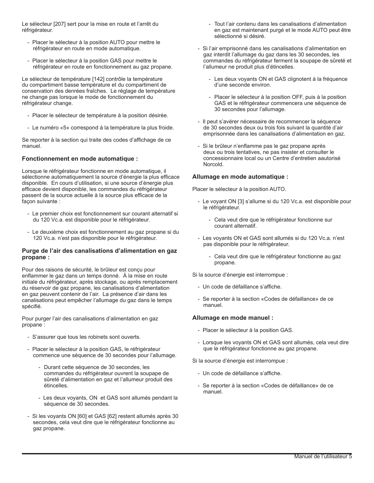Le sélecteur [207] sert pour la mise en route et l'arrêt du réfrigérateur.

- Placer le sélecteur à la position AUTO pour mettre le réfrigérateur en route en mode automatique.
- Placer le sélecteur à la position GAS pour mettre le réfrigérateur en route en fonctionnement au gaz propane.

Le sélecteur de température [142] contrôle la température du compartiment basse température et du compartiment de conservation des denrées fraîches. Le réglage de température ne change pas lorsque le mode de fonctionnement du réfrigérateur change.

- Placer le sélecteur de température à la position désirée.
- Le numéro «5» correspond à la température la plus froide.

Se reporter à la section qui traite des codes d'affichage de ce manuel.

#### **Fonctionnement en mode automatique :**

Lorsque le réfrigérateur fonctionne en mode automatique, il sélectionne automatiquement la source d'énergie la plus efficace disponible. En cours d'utilisation, si une source d'énergie plus efficace devient disponible, les commandes du réfrigérateur passent de la source actuelle à la source plus efficace de la façon suivante :

- Le premier choix est fonctionnement sur courant alternatif si du 120 Vc.a. est disponible pour le réfrigérateur.
- Le deuxième choix est fonctionnement au gaz propane si du 120 Vc.a. n'est pas disponible pour le réfrigérateur.

#### **Purge de l'air des canalisations d'alimentation en gaz propane :**

Pour des raisons de sécurité, le brûleur est conçu pour enflammer le gaz dans un temps donné. À la mise en route initiale du réfrigérateur, après stockage, ou après remplacement du réservoir de gaz propane, les canalisations d'alimentation en gaz peuvent contenir de l'air. La présence d'air dans les canalisations peut empêcher l'allumage du gaz dans le temps spécifié.

Pour purger l'air des canalisations d'alimentation en gaz propane :

- S'assurer que tous les robinets sont ouverts.
- Placer le sélecteur à la position GAS, le réfrigérateur commence une séquence de 30 secondes pour l'allumage.
	- Durant cette séquence de 30 secondes, les commandes du réfrigérateur ouvrent la soupape de sûreté d'alimentation en gaz et l'allumeur produit des étincelles.
	- Les deux voyants, ON et GAS sont allumés pendant la séquence de 30 secondes.
- Si les voyants ON [60] et GAS [62] restent allumés après 30 secondes, cela veut dire que le réfrigérateur fonctionne au gaz propane.
- Tout l'air contenu dans les canalisations d'alimentation en gaz est maintenant purgé et le mode AUTO peut être sélectionné si désiré.
- Si l'air emprisonné dans les canalisations d'alimentation en gaz interdit l'allumage du gaz dans les 30 secondes, les commandes du réfrigérateur ferment la soupape de sûreté et l'allumeur ne produit plus d'étincelles.
	- Les deux voyants ON et GAS clignotent à la fréquence d'une seconde environ.
	- Placer le sélecteur à la position OFF, puis à la position GAS et le réfrigérateur commencera une séquence de 30 secondes pour l'allumage.
- Il peut s'avérer nécessaire de recommencer la séquence de 30 secondes deux ou trois fois suivant la quantité d'air emprisonnée dans les canalisations d'alimentation en gaz.
- Si le brûleur n'enflamme pas le gaz propane après deux ou trois tentatives, ne pas insister et consulter le concessionnaire local ou un Centre d'entretien aautorisé Norcold.

#### **Allumage en mode automatique :**

Placer le sélecteur à la position AUTO.

- Le voyant ON [3] s'allume si du 120 Vc.a. est disponible pour le réfrigérateur.
	- Cela veut dire que le réfrigérateur fonctionne sur courant alternatif.
- Les voyants ON et GAS sont allumés si du 120 Vc.a. n'est pas disponible pour le réfrigérateur.
	- Cela veut dire que le réfrigérateur fonctionne au gaz propane.

Si la source d'énergie est interrompue :

- Un code de défaillance s'affiche.
- Se reporter à la section «Codes de défaillance» de ce manuel.

#### **Allumage en mode manuel :**

- Placer le sélecteur à la position GAS.
- Lorsque les voyants ON et GAS sont allumés, cela veut dire que le réfrigérateur fonctionne au gaz propane.

Si la source d'énergie est interrompue :

- Un code de défaillance s'affiche.
- Se reporter à la section «Codes de défaillance» de ce manuel.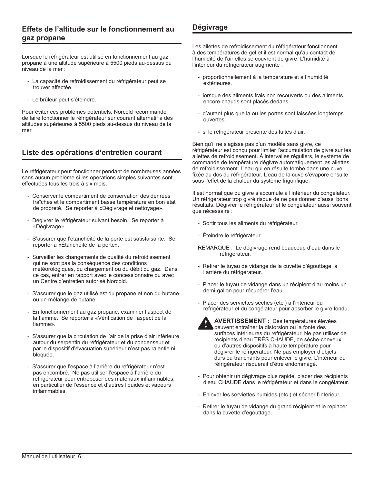### **Effets de l'altitude sur le fonctionnement au gaz propane**

Lorsque le réfrigérateur est utilisé en fonctionnement au gaz propane à une altitude supérieure à 5500 pieds au-dessus du niveau de la mer :

- La capacité de refroidissement du réfrigérateur peut se trouver affectée.
- Le brûleur peut s'éteindre.

Pour éviter ces problèmes potentiels, Norcold recommande de faire fonctionner le réfrigérateur sur courant alternatif à des altitudes supérieures à 5500 pieds au-dessus du niveau de la mer.

### **Liste des opérations d'entretien courant**

Le réfrigérateur peut fonctionner pendant de nombreuses années sans aucun problème si les opérations simples suivantes sont effectuées tous les trois à six mois.

- Conserver le compartiment de conservation des denrées fraîches et le compartiment basse température en bon état de propreté. Se reporter à «Dégivrage et nettoyage».
- Dégivrer le réfrigérateur suivant besoin. Se reporter à «Dégivrage».
- S'assurer que l'étanchéité de la porte est satisfaisante. Se reporter à «Étanchéité de la porte».
- Surveiller les changements de qualité du refroidissement qui ne sont pas la conséquence des conditions météorologiques, du chargement ou du débit du gaz. Dans ce cas, entrer en rapport avec le concessionnaire ou avec un Centre d'entretien autorisé Norcold.
- S'assurer que le gaz utilisé est du propane et non du butane ou un mélange de butane.
- En fonctionnement au gaz propane, examiner l'aspect de la flamme. Se reporter à «Vérification de l'aspect de la flamme».
- S'assurer que la circulation de l'air de la prise d'air inférieure, autour du serpentin du réfrigérateur et du condenseur et par le dispositif d'évacuation supérieur n'est pas ralentie ni bloquée.
- S'assurer que l'espace à l'arrière du réfrigérateur n'est pas encombré. Ne pas utiliser l'espace à l'arrière du réfrigérateur pour entreposer des matériaux inflammables, en particulier de l'essence et d'autres liquides et vapeurs inflammables.

### **Dégivrage**

Les ailettes de refroidissement du réfrigérateur fonctionnent à des températures de gel et il est normal qu'au contact de l'humidité de l'air elles se couvrent de givre. L'humidité à l'intérieur du réfrigérateur augmente :

- proportionnellement à la température et à l'humidité extérieures.
- lorsque des aliments frais non recouverts ou des aliments encore chauds sont placés dedans.
- d'autant plus que la ou les portes sont laissées longtemps ouvertes.
- si le réfrigérateur présente des fuites d'air.

Bien qu'il ne s'agisse pas d'un modèle sans givre, ce réfrigérateur est conçu pour limiter l'accumulation de givre sur les ailettes de refroidissement. À intervalles réguliers, le système de commande de température dégivre automatiquement les ailettes de refroidissement. L'eau qui en résulte tombe dans une cuve fixée au dos du réfrigérateur. L'eau de la cuve s'évapore ensuite sous l'effet de la chaleur du système frigorifique.

Il est normal que du givre s'accumule à l'intérieur du congélateur. Un réfrigérateur trop givré risque de ne pas donner d'aussi bons résultats. Dégivrer le réfrigérateur et le congélateur aussi souvent que nécessaire :

- Sortir tous les aliments du réfrigérateur.
- Éteindre le réfrigérateur.
- REMARQUE : Le dégivrage rend beaucoup d'eau dans le réfrigérateur.
- Retirer le tuyau de vidange de la cuvette d'égouttage, à l'arrière du réfrigérateur.
- Placer le tuyau de vidange dans un récipient d'au moins un demi-gallon pour récupérer l'eau.
- Placer des serviettes sèches (etc.) à l'intérieur du réfrigérateur et du congélateur pour absorber le givre fondu.



- **AVERTISSEMENT :** Des températures élevées peuvent entraîner la distorsion ou la fonte des surfaces intérieures du réfrigérateur. Ne pas utiliser de récipients d'eau TRÈS CHAUDE, de sèche-cheveux ou d'autres dispositifs à haute température pour dégivrer le réfrigérateur. Ne pas employer d'objets durs ou tranchants pour enlever le givre. L'intérieur du réfrigérateur risquerait d'être endommagé. **!**
- Pour obtenir un dégivrage plus rapide, placer des récipients d'eau CHAUDE dans le réfrigérateur et dans le congélateur.
- Enlever les serviettes humides (etc.) et sécher l'intérieur.
- Retirer le tuyau de vidange du grand récipient et le replacer dans la cuvette d'égouttage.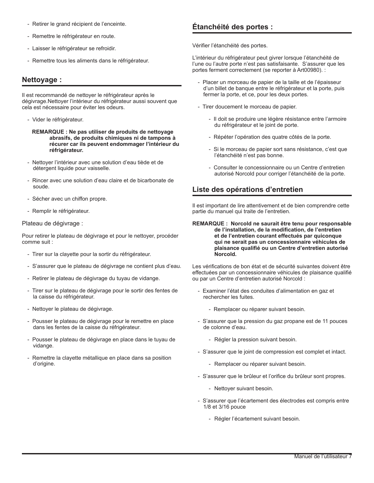- Retirer le grand récipient de l'enceinte.
- Remettre le réfrigérateur en route.
- Laisser le réfrigérateur se refroidir.
- Remettre tous les aliments dans le réfrigérateur.

### **Nettoyage :**

Il est recommandé de nettoyer le réfrigérateur après le dégivrage.Nettoyer l'intérieur du réfrigérateur aussi souvent que cela est nécessaire pour éviter les odeurs.

- Vider le réfrigérateur.
	- **REMARQUE : Ne pas utiliser de produits de nettoyage abrasifs, de produits chimiques ni de tampons à récurer car ils peuvent endommager l'intérieur du réfrigérateur.**
- Nettoyer l'intérieur avec une solution d'eau tiède et de détergent liquide pour vaisselle.
- Rincer avec une solution d'eau claire et de bicarbonate de soude.
- Sécher avec un chiffon propre.
- Remplir le réfrigérateur.

#### Plateau de dégivrage :

Pour retirer le plateau de dégivrage et pour le nettoyer, procéder comme suit :

- Tirer sur la clayette pour la sortir du réfrigérateur.
- S'assurer que le plateau de dégivrage ne contient plus d'eau.
- Retirer le plateau de dégivrage du tuyau de vidange.
- Tirer sur le plateau de dégivrage pour le sortir des fentes de la caisse du réfrigérateur.
- Nettoyer le plateau de dégivrage.
- Pousser le plateau de dégivrage pour le remettre en place dans les fentes de la caisse du réfrigérateur.
- Pousser le plateau de dégivrage en place dans le tuyau de vidange.
- Remettre la clayette métallique en place dans sa position d'origine.

### **Étanchéité des portes :**

Vérifier l'étanchéité des portes.

L'intérieur du réfrigérateur peut givrer lorsque l'étanchéité de l'une ou l'autre porte n'est pas satisfaisante. S'assurer que les portes ferment correctement (se reporter à Art00980). :

- Placer un morceau de papier de la taille et de l'épaisseur d'un billet de banque entre le réfrigérateur et la porte, puis fermer la porte, et ce, pour les deux portes.
- Tirer doucement le morceau de papier.
	- Il doit se produire une légère résistance entre l'armoire du réfrigérateur et le joint de porte.
	- Répéter l'opération des quatre côtés de la porte.
	- Si le morceau de papier sort sans résistance, c'est que l'étanchéité n'est pas bonne.
	- Consulter le concessionnaire ou un Centre d'entretien autorisé Norcold pour corriger l'étanchéité de la porte.

### **Liste des opérations d'entretien**

Il est important de lire attentivement et de bien comprendre cette partie du manuel qui traite de l'entretien.

**REMARQUE : Norcold ne saurait être tenu pour responsable de l'installation, de la modification, de l'entretien et de l'entretien courant effectués par quiconque qui ne serait pas un concessionnaire véhicules de plaisance qualifié ou un Centre d'entretien autorisé Norcold.**

Les vérifications de bon état et de sécurité suivantes doivent être effectuées par un concessionnaire véhicules de plaisance qualifié ou par un Centre d'entretien autorisé Norcold :

- Examiner l'état des conduites d'alimentation en gaz et rechercher les fuites.
	- Remplacer ou réparer suivant besoin.
- S'assurer que la pression du gaz propane est de 11 pouces de colonne d'eau.
	- Régler la pression suivant besoin.
- S'assurer que le joint de compression est complet et intact.
	- Remplacer ou réparer suivant besoin.
- S'assurer que le brûleur et l'orifice du brûleur sont propres.
	- Nettoyer suivant besoin.
- S'assurer que l'écartement des électrodes est compris entre 1/8 et 3/16 pouce
	- Régler l'écartement suivant besoin.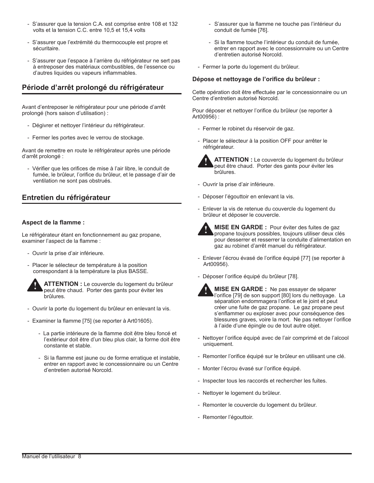- S'assurer que la tension C.A. est comprise entre 108 et 132 volts et la tension C.C. entre 10,5 et 15,4 volts
- S'assurer que l'extrémité du thermocouple est propre et sécuritaire.
- S'assurer que l'espace à l'arrière du réfrigérateur ne sert pas à entreposer des matériaux combustibles, de l'essence ou d'autres liquides ou vapeurs inflammables.

### **Période d'arrêt prolongé du réfrigérateur**

Avant d'entreposer le réfrigérateur pour une période d'arrêt prolongé (hors saison d'utilisation) :

- Dégivrer et nettoyer l'intérieur du réfrigérateur.
- Fermer les portes avec le verrou de stockage.

Avant de remettre en route le réfrigérateur après une période d'arrêt prolongé :

- Vérifier que les orifices de mise à l'air libre, le conduit de fumée, le brûleur, l'orifice du brûleur, et le passage d'air de ventilation ne sont pas obstrués.

### **Entretien du réfrigérateur**

#### **Aspect de la flamme :**

Le réfrigérateur étant en fonctionnement au gaz propane, examiner l'aspect de la flamme :

- Ouvrir la prise d'air inférieure.
- Placer le sélecteur de température à la position correspondant à la température la plus BASSE.



**ATTENTION :** Le couvercle du logement du brûleur peut être chaud. Porter des gants pour éviter les peut être chaud. Porter des gants pour éviter les brûlures.

- Ouvrir la porte du logement du brûleur en enlevant la vis.
- Examiner la flamme [75] (se reporter à Art01605).
	- La partie intérieure de la flamme doit être bleu foncé et l'extérieur doit être d'un bleu plus clair, la forme doit être constante et stable.
	- Si la flamme est jaune ou de forme erratique et instable, entrer en rapport avec le concessionnaire ou un Centre d'entretien autorisé Norcold.
- S'assurer que la flamme ne touche pas l'intérieur du conduit de fumée [76].
- Si la flamme touche l'intérieur du conduit de fumée, entrer en rapport avec le concessionnaire ou un Centre d'entretien autorisé Norcold.
- Fermer la porte du logement du brûleur.

#### **Dépose et nettoyage de l'orifice du brûleur :**

Cette opération doit être effectuée par le concessionnaire ou un Centre d'entretien autorisé Norcold.

Pour déposer et nettoyer l'orifice du brûleur (se reporter à Art00956) :

- Fermer le robinet du réservoir de gaz.
- Placer le sélecteur à la position OFF pour arrêter le réfrigérateur.



**ATTENTION :** Le couvercle du logement du brûleur peut être chaud. Porter des gants pour éviter les brûlures.

- Ouvrir la prise d'air inférieure.
- Déposer l'égouttoir en enlevant la vis.
- Enlever la vis de retenue du couvercle du logement du brûleur et déposer le couvercle.



**MISE EN GARDE :** Pour éviter des fuites de gaz propane toujours possibles, toujours utiliser deux clés pour desserrer et resserrer la conduite d'alimentation en gaz au robinet d'arrêt manuel du réfrigérateur.

- Enlever l'écrou évasé de l'orifice équipé [77] (se reporter à Art00956).
- Déposer l'orifice équipé du brûleur [78].



**MISE EN GARDE :** Ne pas essayer de séparer l'orifice [79] de son support [80] lors du nettoyage. La séparation endommagera l'orifice et le joint et peut créer une fuite de gaz propane. Le gaz propane peut s'enflammer ou exploser avec pour conséquence des blessures graves, voire la mort. Ne pas nettoyer l'orifice à l'aide d'une épingle ou de tout autre objet.

- Nettoyer l'orifice équipé avec de l'air comprimé et de l'alcool uniquement.
- Remonter l'orifice équipé sur le brûleur en utilisant une clé.
- Monter l'écrou évasé sur l'orifice équipé.
- Inspecter tous les raccords et rechercher les fuites.
- Nettoyer le logement du brûleur.
- Remonter le couvercle du logement du brûleur.
- Remonter l'égouttoir.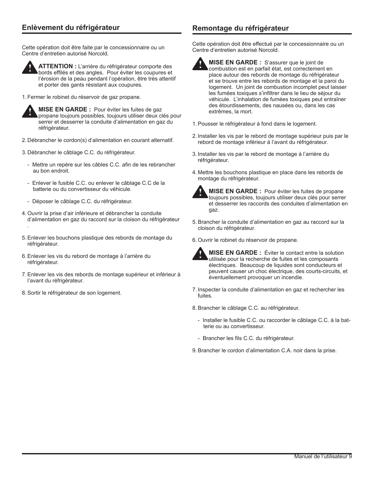### **Enlèvement du réfrigérateur Remontage du réfrigérateur**

Cette opération doit être faite par le concessionnaire ou un Centre d'entretien autorisé Norcold.



**ATTENTION :** L'arrière du réfrigérateur comporte des bords effilés et des angles. Pour éviter les coupures et l'érosion de la peau pendant l'opération, être très attentif et porter des gants résistant aux coupures.

1. Fermer le robinet du réservoir de gaz propane.



.

**MISE EN GARDE :** Pour éviter les fuites de gaz propane toujours possibles, toujours utiliser deux clés pour serrer et desserrer la conduite d'alimentation en gaz du réfrigérateur.

- 2. Débrancher le cordon(s) d'alimentation en courant alternatif.
- 3. Débrancher le câblage C.C. du réfrigérateur.
	- Mettre un repère sur les câbles C.C. afin de les rebrancher au bon endroit.
	- Enlever le fusible C.C. ou enlever le câblage C.C de la batterie ou du convertisseur du véhicule.
	- Déposer le câblage C.C. du réfrigérateur.
- 4. Ouvrir la prise d'air inférieure et débrancher la conduite d'alimentation en gaz du raccord sur la cloison du réfrigérateur
- 5.Enlever les bouchons plastique des rebords de montage du réfrigérateur.
- 6.Enlever les vis du rebord de montage à l'arrière du réfrigérateur.
- 7.Enlever les vis des rebords de montage supérieur et inférieur à l'avant du réfrigérateur.
- 8.Sortir le réfrigérateur de son logement.

Cette opération doit être effectué par le concessionnaire ou un Centre d'entretien autorisé Norcold.



**MISE EN GARDE :** S'assurer que le joint de combustion est en parfait état, est correctement en place autour des rebords de montage du réfrigérateur et se trouve entre les rebords de montage et la paroi du logement. Un joint de combustion incomplet peut laisser les fumées toxiques s'infiltrer dans le lieu de séjour du véhicule. L'inhalation de fumées toxiques peut entraîner des étourdissements, des nausées ou, dans les cas extrêmes, la mort.

- 1.Pousser le réfrigérateur à fond dans le logement.
- 2. Installer les vis par le rebord de montage supérieur puis par le rebord de montage inférieur à l'avant du réfrigérateur.
- 3. Installer les vis par le rebord de montage à l'arrière du réfrigérateur.
- 4. Mettre les bouchons plastique en place dans les rebords de montage du réfrigérateur.



**!**

**MISE EN GARDE :** Pour éviter les fuites de propane toujours possibles, toujours utiliser deux clés pour serrer et desserrer les raccords des conduites d'alimentation en gaz.

- 5.Brancher la conduite d'alimentation en gaz au raccord sur la cloison du réfrigérateur.
- 6. Ouvrir le robinet du réservoir de propane.



**MISE EN GARDE :** Éviter le contact entre la solution utilisée pour la recherche de fuites et les composants électriques. Beaucoup de liquides sont conducteurs et peuvent causer un choc électrique, des courts-circuits, et éventuellement provoquer un incendie.

- 7. Inspecter la conduite d'alimentation en gaz et rechercher les fuites.
- 8.Brancher le câblage C.C. au réfrigérateur.
	- Installer le fusible C.C. ou raccorder le câblage C.C. à la batterie ou au convertisseur.
	- Brancher les fils C.C. du réfrigérateur.
- 9.Brancher le cordon d'alimentation C.A. noir dans la prise.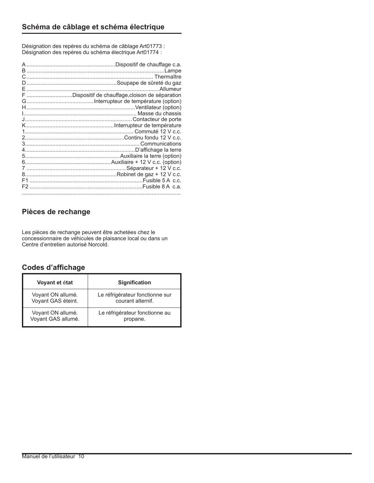Désignation des repères du schéma de câblage Art01773 : Désignation des repères du schéma électrique Art01774 :

| F Dispositif de chauffage, cloison de séparation |
|--------------------------------------------------|
|                                                  |
|                                                  |
|                                                  |
|                                                  |
|                                                  |
|                                                  |
|                                                  |
|                                                  |
|                                                  |
|                                                  |
|                                                  |
|                                                  |
|                                                  |
|                                                  |
|                                                  |
|                                                  |

### **Pièces de rechange**

Les pièces de rechange peuvent être achetées chez le concessionnaire de véhicules de plaisance local ou dans un Centre d'entretien autorisé Norcold.

### **Codes d'affichage**

| Voyant et état     | <b>Signification</b>            |
|--------------------|---------------------------------|
| Voyant ON allumé.  | Le réfrigérateur fonctionne sur |
| Voyant GAS éteint. | courant alternif.               |
| Voyant ON allumé.  | Le réfrigérateur fonctionne au  |
| Voyant GAS allumé. | propane.                        |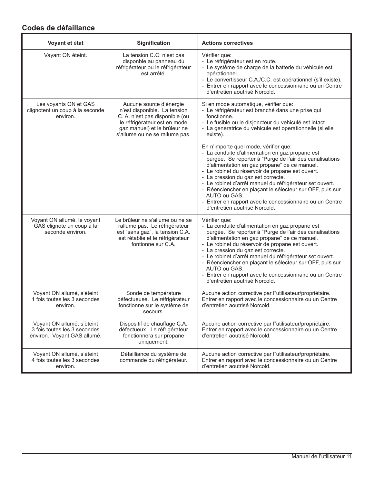### **Codes de défaillance**

| Voyant et état                                                                            | <b>Signification</b>                                                                                                                                                                        | <b>Actions correctives</b>                                                                                                                                                                                                                                                                                                                                                                                                                                                                                 |
|-------------------------------------------------------------------------------------------|---------------------------------------------------------------------------------------------------------------------------------------------------------------------------------------------|------------------------------------------------------------------------------------------------------------------------------------------------------------------------------------------------------------------------------------------------------------------------------------------------------------------------------------------------------------------------------------------------------------------------------------------------------------------------------------------------------------|
| Vayant ON éteint.                                                                         | La tension C.C. n'est pas<br>disponble au panneau du<br>réfrigérateur ou le réfrigérateur<br>est arrêté.                                                                                    | Vérifier que:<br>- Le réfrigérateur est en route.<br>- Le système de charge de la batterie du véhicule est<br>opérationnel.<br>- Le convertisseur C.A./C.C. est opérationnel (s'il existe).<br>- Entrer en rapport avec le concessionnaire ou un Centre<br>d'entretien aoutrisé Norcold.                                                                                                                                                                                                                   |
| Les voyants ON et GAS<br>clignotent un coup à la seconde<br>environ.                      | Aucune source d'énergie<br>n'est disponible. La tension<br>C. A. n'est pas disponible (ou<br>le réfrigérateur est en mode<br>gaz manuel) et le brûleur ne<br>s'allume ou ne se rallume pas. | Si en mode automatique, vérifier que:<br>- Le réfrigérateur est branché dans une prise qui<br>fonctionne.<br>- Le fusible ou le disjoncteur du vehiculé est intact.<br>- La generatrice du vehicule est operationnelle (si elle<br>existe).<br>En n'importe quel mode, vérifier que:                                                                                                                                                                                                                       |
|                                                                                           |                                                                                                                                                                                             | - La conduite d'alimentation en gaz propane est<br>purgée. Se reporter à "Purge de l'air des canalisations<br>d'alimentation en gaz propane" de ce manuel.<br>- Le robinet du réservoir de propane est ouvert.<br>- La pression du gaz est correcte.<br>- Le robinet d'arrêt manuel du réfrigérateur set ouvert.<br>- Réenclencher en plaçant le sélecteur sur OFF, puis sur<br>AUTO ou GAS.<br>- Entrer en rapport avec le concessionnaire ou un Centre<br>d'entretien aoutrisé Norcold.                  |
| Voyant ON allumé, le voyant<br>GAS clignote un coup à la<br>seconde environ.              | Le brûleur ne s'allume ou ne se<br>rallume pas. Le réfrigérateur<br>est "sans gaz", la tension C.A.<br>est rétablie et le réfrigérateur<br>fontionne sur C.A.                               | Vérifier que:<br>- La conduite d'alimentation en gaz propane est<br>purgée. Se reporter à "Purge de l'air des canalisations<br>d'alimentation en gaz propane" de ce manuel.<br>- Le robinet du réservoir de propane est ouvert.<br>- La pression du gaz est correcte.<br>- Le robinet d'arrêt manuel du réfrigérateur set ouvert.<br>- Réenclencher en plaçant le sélecteur sur OFF, puis sur<br>AUTO ou GAS.<br>- Entrer en rapport avec le concessionnaire ou un Centre<br>d'entretien aoutrisé Norcold. |
| Voyant ON allumé, s'èteint<br>1 fois toutes les 3 secondes<br>environ.                    | Sonde de température<br>défectueuse. Le réfrigérateur<br>fonctionne sur le système de<br>secours.                                                                                           | Aucune action corrective par l"utilisateur/propriétaire.<br>Entrer en rapport avec le concessionnaire ou un Centre<br>d'entretien aoutrisé Norcold.                                                                                                                                                                                                                                                                                                                                                        |
| Voyant ON allumé, s'èteint<br>3 fois toutes les 3 secondes<br>environ. Voyant GAS allumé. | Dispositif de chauffage C.A.<br>défectueux. Le réfrigérateur<br>fonctionnera sur propane<br>uniquement.                                                                                     | Aucune action corrective par l"utilisateur/propriétaire.<br>Entrer en rapport avec le concessionnaire ou un Centre<br>d'entretien aoutrisé Norcold.                                                                                                                                                                                                                                                                                                                                                        |
| Voyant ON allumé, s'èteint<br>4 fois toutes les 3 secondes<br>environ.                    | Défailliance du système de<br>commande du réfrigérateur.                                                                                                                                    | Aucune action corrective par l"utilisateur/propriétaire.<br>Entrer en rapport avec le concessionnaire ou un Centre<br>d'entretien aoutrisé Norcold.                                                                                                                                                                                                                                                                                                                                                        |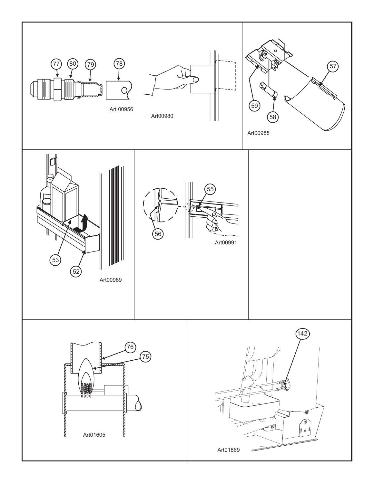